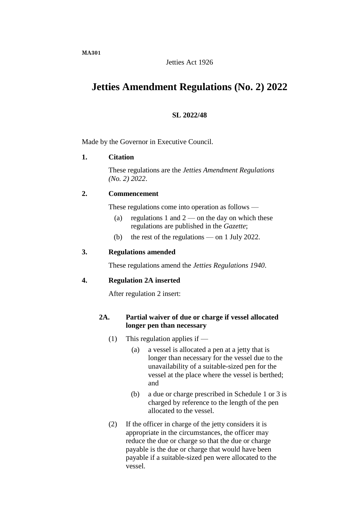**MA301**

# Jetties Act 1926

# **Jetties Amendment Regulations (No. 2) 2022**

# **SL 2022/48**

Made by the Governor in Executive Council.

# **1. Citation**

These regulations are the *Jetties Amendment Regulations (No. 2) 2022*.

# **2. Commencement**

These regulations come into operation as follows —

- (a) regulations 1 and  $2$  on the day on which these regulations are published in the *Gazette*;
- (b) the rest of the regulations on 1 July 2022.

# **3. Regulations amended**

These regulations amend the *Jetties Regulations 1940*.

# **4. Regulation 2A inserted**

After regulation 2 insert:

# **2A. Partial waiver of due or charge if vessel allocated longer pen than necessary**

- (1) This regulation applies if  $-$ 
	- (a) a vessel is allocated a pen at a jetty that is longer than necessary for the vessel due to the unavailability of a suitable-sized pen for the vessel at the place where the vessel is berthed; and
	- (b) a due or charge prescribed in Schedule 1 or 3 is charged by reference to the length of the pen allocated to the vessel.
- (2) If the officer in charge of the jetty considers it is appropriate in the circumstances, the officer may reduce the due or charge so that the due or charge payable is the due or charge that would have been payable if a suitable-sized pen were allocated to the vessel.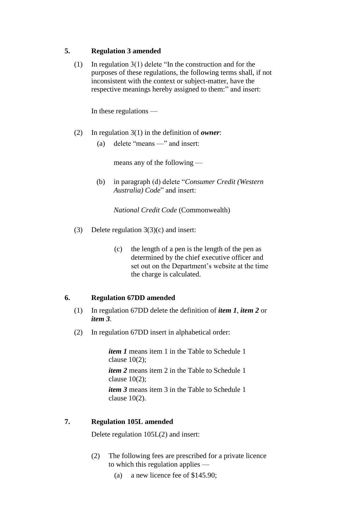# **5. Regulation 3 amended**

(1) In regulation 3(1) delete "In the construction and for the purposes of these regulations, the following terms shall, if not inconsistent with the context or subject-matter, have the respective meanings hereby assigned to them:" and insert:

In these regulations —

- (2) In regulation 3(1) in the definition of *owner*:
	- (a) delete "means —" and insert:

means any of the following —

(b) in paragraph (d) delete "*Consumer Credit (Western Australia) Code*" and insert:

*National Credit Code* (Commonwealth)

- (3) Delete regulation 3(3)(c) and insert:
	- (c) the length of a pen is the length of the pen as determined by the chief executive officer and set out on the Department's website at the time the charge is calculated.

# **6. Regulation 67DD amended**

- (1) In regulation 67DD delete the definition of *item 1*, *item 2* or *item 3*.
- (2) In regulation 67DD insert in alphabetical order:

*item 1* means item 1 in the Table to Schedule 1 clause 10(2);

*item 2* means item 2 in the Table to Schedule 1 clause  $10(2)$ ;

*item 3* means item 3 in the Table to Schedule 1 clause 10(2).

# **7. Regulation 105L amended**

Delete regulation 105L(2) and insert:

- (2) The following fees are prescribed for a private licence to which this regulation applies —
	- (a) a new licence fee of \$145.90;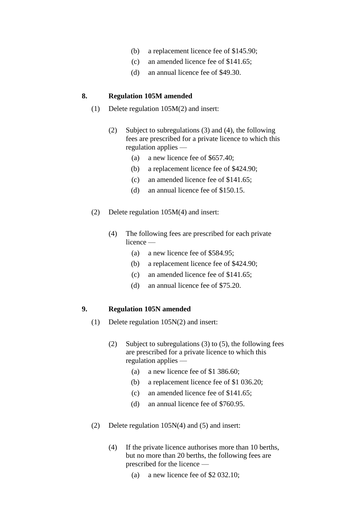- (b) a replacement licence fee of \$145.90;
- (c) an amended licence fee of \$141.65;
- (d) an annual licence fee of \$49.30.

### **8. Regulation 105M amended**

- (1) Delete regulation 105M(2) and insert:
	- (2) Subject to subregulations (3) and (4), the following fees are prescribed for a private licence to which this regulation applies —
		- (a) a new licence fee of \$657.40;
		- (b) a replacement licence fee of \$424.90;
		- (c) an amended licence fee of \$141.65;
		- (d) an annual licence fee of \$150.15.
- (2) Delete regulation 105M(4) and insert:
	- (4) The following fees are prescribed for each private licence —
		- (a) a new licence fee of \$584.95;
		- (b) a replacement licence fee of \$424.90;
		- (c) an amended licence fee of \$141.65;
		- (d) an annual licence fee of \$75.20.

# **9. Regulation 105N amended**

- (1) Delete regulation 105N(2) and insert:
	- (2) Subject to subregulations (3) to (5), the following fees are prescribed for a private licence to which this regulation applies —
		- (a) a new licence fee of \$1 386.60;
		- (b) a replacement licence fee of \$1 036.20;
		- (c) an amended licence fee of \$141.65;
		- (d) an annual licence fee of \$760.95.
- (2) Delete regulation 105N(4) and (5) and insert:
	- (4) If the private licence authorises more than 10 berths, but no more than 20 berths, the following fees are prescribed for the licence —
		- (a) a new licence fee of \$2 032.10;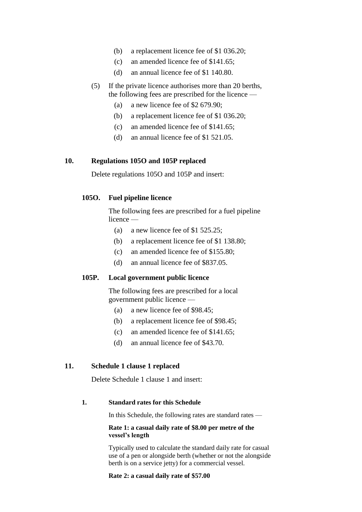- (b) a replacement licence fee of \$1 036.20;
- (c) an amended licence fee of \$141.65;
- (d) an annual licence fee of \$1 140.80.
- (5) If the private licence authorises more than 20 berths, the following fees are prescribed for the licence —
	- (a) a new licence fee of \$2 679.90;
	- (b) a replacement licence fee of \$1 036.20;
	- (c) an amended licence fee of \$141.65;
	- (d) an annual licence fee of \$1 521.05.

### **10. Regulations 105O and 105P replaced**

Delete regulations 105O and 105P and insert:

### **105O. Fuel pipeline licence**

The following fees are prescribed for a fuel pipeline licence —

- (a) a new licence fee of \$1 525.25;
- (b) a replacement licence fee of \$1 138.80;
- (c) an amended licence fee of \$155.80;
- (d) an annual licence fee of \$837.05.

# **105P. Local government public licence**

The following fees are prescribed for a local government public licence —

- (a) a new licence fee of \$98.45;
- (b) a replacement licence fee of \$98.45;
- (c) an amended licence fee of \$141.65;
- (d) an annual licence fee of \$43.70.

### **11. Schedule 1 clause 1 replaced**

Delete Schedule 1 clause 1 and insert:

### **1. Standard rates for this Schedule**

In this Schedule, the following rates are standard rates —

#### **Rate 1: a casual daily rate of \$8.00 per metre of the vessel's length**

Typically used to calculate the standard daily rate for casual use of a pen or alongside berth (whether or not the alongside berth is on a service jetty) for a commercial vessel.

#### **Rate 2: a casual daily rate of \$57.00**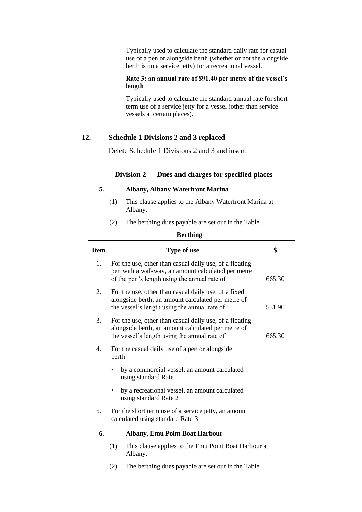Typically used to calculate the standard daily rate for casual use of a pen or alongside berth (whether or not the alongside berth is on a service jetty) for a recreational vessel.

### **Rate 3: an annual rate of \$91.40 per metre of the vessel's length**

Typically used to calculate the standard annual rate for short term use of a service jetty for a vessel (other than service vessels at certain places).

### **12. Schedule 1 Divisions 2 and 3 replaced**

Delete Schedule 1 Divisions 2 and 3 and insert:

### **Division 2 — Dues and charges for specified places**

#### **5. Albany, Albany Waterfront Marina**

- (1) This clause applies to the Albany Waterfront Marina at Albany.
- (2) The berthing dues payable are set out in the Table.

| <b>Item</b>    | Type of use                                                                                                                                                   | \$     |
|----------------|---------------------------------------------------------------------------------------------------------------------------------------------------------------|--------|
| $1_{\cdot}$    | For the use, other than casual daily use, of a floating<br>pen with a walkway, an amount calculated per metre<br>of the pen's length using the annual rate of | 665.30 |
| 2.             | For the use, other than casual daily use, of a fixed<br>alongside berth, an amount calculated per metre of<br>the vessel's length using the annual rate of    | 531.90 |
| 3.             | For the use, other than casual daily use, of a floating<br>alongside berth, an amount calculated per metre of<br>the vessel's length using the annual rate of | 665.30 |
| 4.             | For the casual daily use of a pen or alongside<br>$berth$ —                                                                                                   |        |
|                | by a commercial vessel, an amount calculated<br>using standard Rate 1                                                                                         |        |
|                | by a recreational vessel, an amount calculated<br>using standard Rate 2                                                                                       |        |
| 5 <sub>1</sub> | For the short term use of a service jetty, an amount<br>calculated using standard Rate 3                                                                      |        |
| 6.             | <b>Albany, Emu Point Boat Harbour</b>                                                                                                                         |        |

- (1) This clause applies to the Emu Point Boat Harbour at Albany.
- (2) The berthing dues payable are set out in the Table.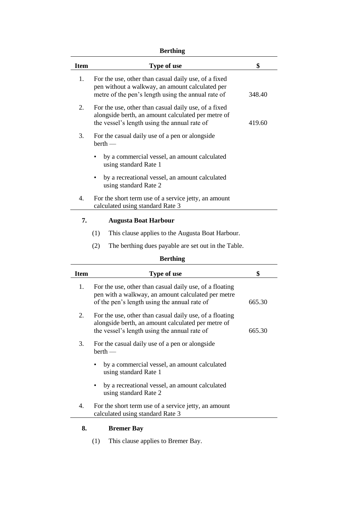# **Berthing**

| <b>Item</b>     | <b>Type of use</b>                                                                                                                                            | \$     |  |
|-----------------|---------------------------------------------------------------------------------------------------------------------------------------------------------------|--------|--|
| 1.              | For the use, other than casual daily use, of a fixed<br>pen without a walkway, an amount calculated per<br>metre of the pen's length using the annual rate of | 348.40 |  |
| 2.              | For the use, other than casual daily use, of a fixed<br>alongside berth, an amount calculated per metre of<br>the vessel's length using the annual rate of    | 419.60 |  |
| 3.              | For the casual daily use of a pen or alongside<br>$berth$ —                                                                                                   |        |  |
|                 | by a commercial vessel, an amount calculated<br>using standard Rate 1                                                                                         |        |  |
|                 | by a recreational vessel, an amount calculated<br>using standard Rate 2                                                                                       |        |  |
| 4.              | For the short term use of a service jetty, an amount<br>calculated using standard Rate 3                                                                      |        |  |
| 7.              | <b>Augusta Boat Harbour</b>                                                                                                                                   |        |  |
|                 | (1)<br>This clause applies to the Augusta Boat Harbour.                                                                                                       |        |  |
|                 | (2)<br>The berthing dues payable are set out in the Table.                                                                                                    |        |  |
| <b>Berthing</b> |                                                                                                                                                               |        |  |
| <b>Item</b>     | Type of use                                                                                                                                                   | \$     |  |
| 1.              | For the use, other than casual daily use, of a floating<br>restate to recollect our construction of and added to an a                                         |        |  |

| <b>Item</b> | <b>Type of use</b>                                                                                                                                            | \$     |
|-------------|---------------------------------------------------------------------------------------------------------------------------------------------------------------|--------|
| 1.          | For the use, other than casual daily use, of a floating<br>pen with a walkway, an amount calculated per metre<br>of the pen's length using the annual rate of | 665.30 |
| 2.          | For the use, other than casual daily use, of a floating<br>alongside berth, an amount calculated per metre of<br>the vessel's length using the annual rate of | 665.30 |
| 3.          | For the casual daily use of a pen or alongside<br>$berth$ —                                                                                                   |        |
|             | by a commercial vessel, an amount calculated<br>using standard Rate 1                                                                                         |        |
|             | by a recreational vessel, an amount calculated<br>using standard Rate 2                                                                                       |        |
| 4.          | For the short term use of a service jetty, an amount<br>calculated using standard Rate 3                                                                      |        |

# **8. Bremer Bay**

(1) This clause applies to Bremer Bay.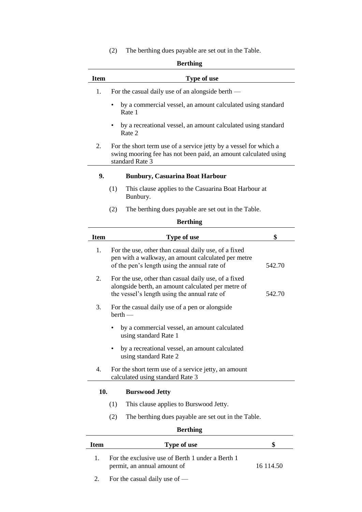(2) The berthing dues payable are set out in the Table.

|             | berunng                                                                                                                                                    |        |
|-------------|------------------------------------------------------------------------------------------------------------------------------------------------------------|--------|
| Item        | <b>Type of use</b>                                                                                                                                         |        |
| 1.          | For the casual daily use of an alongside berth —                                                                                                           |        |
|             | by a commercial vessel, an amount calculated using standard<br>Rate 1                                                                                      |        |
|             | by a recreational vessel, an amount calculated using standard<br>Rate 2                                                                                    |        |
| 2.          | For the short term use of a service jetty by a vessel for which a<br>swing mooring fee has not been paid, an amount calculated using<br>standard Rate 3    |        |
| 9.          | <b>Bunbury, Casuarina Boat Harbour</b>                                                                                                                     |        |
|             | (1)<br>This clause applies to the Casuarina Boat Harbour at<br>Bunbury.                                                                                    |        |
|             | (2)<br>The berthing dues payable are set out in the Table.                                                                                                 |        |
|             | <b>Berthing</b>                                                                                                                                            |        |
| <b>Item</b> | Type of use                                                                                                                                                | \$     |
| 1.          | For the use, other than casual daily use, of a fixed<br>pen with a walkway, an amount calculated per metre<br>of the pen's length using the annual rate of | 542.70 |
| 2.          | For the use, other than casual daily use, of a fixed<br>alongside berth, an amount calculated per metre of<br>the vessel's length using the annual rate of | 542.70 |
| 3.          | For the casual daily use of a pen or alongside<br>$berth$ —                                                                                                |        |
|             | by a commercial vessel, an amount calculated<br>using standard Rate 1                                                                                      |        |
|             | by a recreational vessel, an amount calculated<br>using standard Rate 2                                                                                    |        |
| 4.          | For the short term use of a service jetty, an amount<br>calculated using standard Rate 3                                                                   |        |
| 10.         | <b>Burswood Jetty</b>                                                                                                                                      |        |
|             | This clause applies to Burswood Jetty.<br>(1)                                                                                                              |        |
|             | (2)<br>The berthing dues payable are set out in the Table.                                                                                                 |        |
|             |                                                                                                                                                            |        |

| Item | Type of use                                                                     |            |
|------|---------------------------------------------------------------------------------|------------|
|      | For the exclusive use of Berth 1 under a Berth 1<br>permit, an annual amount of | 16 1 14 50 |
|      | For the casual daily use of $-$                                                 |            |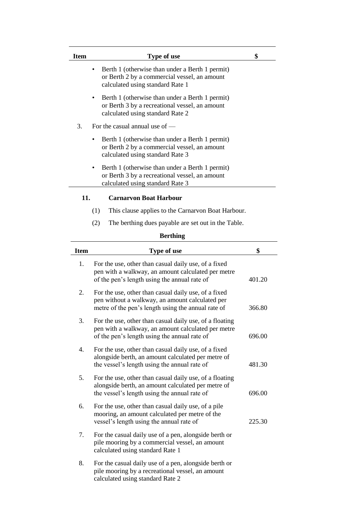| Item | Type of use                                                                                                                                | \$ |
|------|--------------------------------------------------------------------------------------------------------------------------------------------|----|
|      | Berth 1 (otherwise than under a Berth 1 permit)<br>or Berth 2 by a commercial vessel, an amount<br>calculated using standard Rate 1        |    |
|      | Berth 1 (otherwise than under a Berth 1 permit)<br>٠<br>or Berth 3 by a recreational vessel, an amount<br>calculated using standard Rate 2 |    |
| 3.   | For the casual annual use of $-$                                                                                                           |    |
|      | Berth 1 (otherwise than under a Berth 1 permit)<br>٠<br>or Berth 2 by a commercial vessel, an amount<br>calculated using standard Rate 3   |    |
|      | Berth 1 (otherwise than under a Berth 1 permit)<br>or Berth 3 by a recreational vessel, an amount<br>calculated using standard Rate 3      |    |
| 11.  | <b>Carnarvon Boat Harbour</b>                                                                                                              |    |
|      | This clause applies to the Carnarvon Boat Harbour.<br>(1)                                                                                  |    |

(2) The berthing dues payable are set out in the Table.

| <b>Item</b> | Type of use                                                                                                                                                   | \$     |
|-------------|---------------------------------------------------------------------------------------------------------------------------------------------------------------|--------|
| 1.          | For the use, other than casual daily use, of a fixed<br>pen with a walkway, an amount calculated per metre<br>of the pen's length using the annual rate of    | 401.20 |
| 2.          | For the use, other than casual daily use, of a fixed<br>pen without a walkway, an amount calculated per<br>metre of the pen's length using the annual rate of | 366.80 |
| 3.          | For the use, other than casual daily use, of a floating<br>pen with a walkway, an amount calculated per metre<br>of the pen's length using the annual rate of | 696.00 |
| 4.          | For the use, other than casual daily use, of a fixed<br>alongside berth, an amount calculated per metre of<br>the vessel's length using the annual rate of    | 481.30 |
| 5.          | For the use, other than casual daily use, of a floating<br>alongside berth, an amount calculated per metre of<br>the vessel's length using the annual rate of | 696.00 |
| 6.          | For the use, other than casual daily use, of a pile<br>mooring, an amount calculated per metre of the<br>vessel's length using the annual rate of             | 225.30 |
| 7.          | For the casual daily use of a pen, alongside berth or<br>pile mooring by a commercial vessel, an amount<br>calculated using standard Rate 1                   |        |
| 8.          | For the casual daily use of a pen, alongside berth or<br>pile mooring by a recreational vessel, an amount<br>calculated using standard Rate 2                 |        |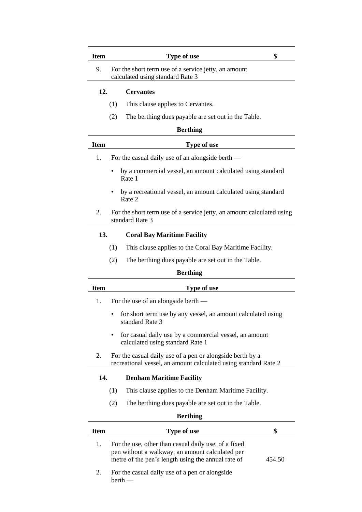| <b>Item</b> | <b>Type of use</b>                                                                                                           | \$ |
|-------------|------------------------------------------------------------------------------------------------------------------------------|----|
| 9.          | For the short term use of a service jetty, an amount<br>calculated using standard Rate 3                                     |    |
| 12.         | <b>Cervantes</b>                                                                                                             |    |
|             | This clause applies to Cervantes.<br>(1)                                                                                     |    |
|             | The berthing dues payable are set out in the Table.<br>(2)                                                                   |    |
|             | <b>Berthing</b>                                                                                                              |    |
| <b>Item</b> | Type of use                                                                                                                  |    |
| 1.          | For the casual daily use of an alongside berth —                                                                             |    |
|             | by a commercial vessel, an amount calculated using standard<br>Rate 1                                                        |    |
|             | by a recreational vessel, an amount calculated using standard<br>Rate 2                                                      |    |
| 2.          | For the short term use of a service jetty, an amount calculated using<br>standard Rate 3                                     |    |
| 13.         | <b>Coral Bay Maritime Facility</b>                                                                                           |    |
|             | (1)<br>This clause applies to the Coral Bay Maritime Facility.                                                               |    |
|             | (2)<br>The berthing dues payable are set out in the Table.                                                                   |    |
|             | <b>Berthing</b>                                                                                                              |    |
| <b>Item</b> | Type of use                                                                                                                  |    |
| 1.          | For the use of an alongside berth —                                                                                          |    |
|             | for short term use by any vessel, an amount calculated using<br>standard Rate 3                                              |    |
|             | for casual daily use by a commercial vessel, an amount<br>calculated using standard Rate 1                                   |    |
| 2.          | For the casual daily use of a pen or alongside berth by a<br>recreational vessel, an amount calculated using standard Rate 2 |    |
| 14.         | <b>Denham Maritime Facility</b>                                                                                              |    |
|             | This clause applies to the Denham Maritime Facility.<br>(1)                                                                  |    |
|             | (2)<br>The berthing dues payable are set out in the Table.                                                                   |    |
|             | <b>Berthing</b>                                                                                                              |    |
| <b>Item</b> | Type of use                                                                                                                  | \$ |
| 1.          | For the use, other than casual daily use, of a fixed<br>pen without a walkway, an amount calculated per                      |    |

2. For the casual daily use of a pen or alongside berth —

metre of the pen's length using the annual rate of 454.50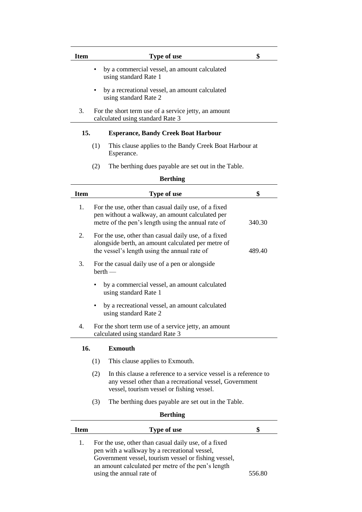| Item | Type of use                                                                              | \$ |
|------|------------------------------------------------------------------------------------------|----|
|      | by a commercial vessel, an amount calculated<br>using standard Rate 1                    |    |
|      | by a recreational vessel, an amount calculated<br>using standard Rate 2                  |    |
| 3.   | For the short term use of a service jetty, an amount<br>calculated using standard Rate 3 |    |
| 15.  | <b>Esperance, Bandy Creek Boat Harbour</b>                                               |    |
|      | This clause applies to the Bandy Creek Boat Harbour at<br>(1)<br>Esperance.              |    |

(2) The berthing dues payable are set out in the Table.

| <b>Item</b> | Type of use                                                                                                                                                   | \$     |
|-------------|---------------------------------------------------------------------------------------------------------------------------------------------------------------|--------|
| 1.          | For the use, other than casual daily use, of a fixed<br>pen without a walkway, an amount calculated per<br>metre of the pen's length using the annual rate of | 340.30 |
| 2.          | For the use, other than casual daily use, of a fixed<br>alongside berth, an amount calculated per metre of<br>the vessel's length using the annual rate of    | 489.40 |
| 3.          | For the casual daily use of a pen or alongside<br>$berth$ —                                                                                                   |        |
|             | by a commercial vessel, an amount calculated<br>using standard Rate 1                                                                                         |        |
|             | by a recreational vessel, an amount calculated<br>using standard Rate 2                                                                                       |        |
| 4.          | For the short term use of a service jetty, an amount<br>calculated using standard Rate 3                                                                      |        |
| 16.         | <b>Exmouth</b>                                                                                                                                                |        |
|             | This clause applies to Exmouth.<br>(1)                                                                                                                        |        |

- (2) In this clause a reference to a service vessel is a reference to any vessel other than a recreational vessel, Government vessel, tourism vessel or fishing vessel.
- (3) The berthing dues payable are set out in the Table.

| <b>Berthing</b> |                                                                                                                                                                                                                                                |        |  |
|-----------------|------------------------------------------------------------------------------------------------------------------------------------------------------------------------------------------------------------------------------------------------|--------|--|
| Item            | <b>Type of use</b>                                                                                                                                                                                                                             |        |  |
|                 | For the use, other than casual daily use, of a fixed<br>pen with a walkway by a recreational vessel,<br>Government vessel, tourism vessel or fishing vessel,<br>an amount calculated per metre of the pen's length<br>using the annual rate of | 556.80 |  |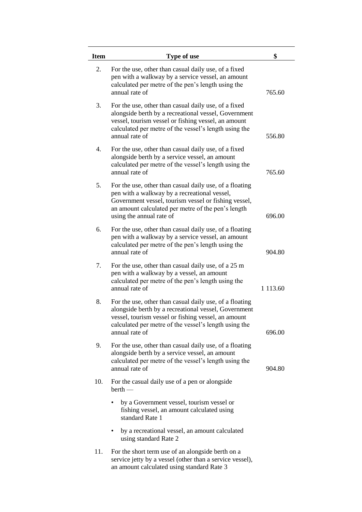| <b>Item</b> | Type of use                                                                                                                                                                                                                                       | \$          |
|-------------|---------------------------------------------------------------------------------------------------------------------------------------------------------------------------------------------------------------------------------------------------|-------------|
| 2.          | For the use, other than casual daily use, of a fixed<br>pen with a walkway by a service vessel, an amount<br>calculated per metre of the pen's length using the<br>annual rate of                                                                 | 765.60      |
| 3.          | For the use, other than casual daily use, of a fixed<br>alongside berth by a recreational vessel, Government<br>vessel, tourism vessel or fishing vessel, an amount<br>calculated per metre of the vessel's length using the<br>annual rate of    | 556.80      |
| 4.          | For the use, other than casual daily use, of a fixed<br>alongside berth by a service vessel, an amount<br>calculated per metre of the vessel's length using the<br>annual rate of                                                                 | 765.60      |
| 5.          | For the use, other than casual daily use, of a floating<br>pen with a walkway by a recreational vessel,<br>Government vessel, tourism vessel or fishing vessel,<br>an amount calculated per metre of the pen's length<br>using the annual rate of | 696.00      |
| 6.          | For the use, other than casual daily use, of a floating<br>pen with a walkway by a service vessel, an amount<br>calculated per metre of the pen's length using the<br>annual rate of                                                              | 904.80      |
| 7.          | For the use, other than casual daily use, of a 25 m<br>pen with a walkway by a vessel, an amount<br>calculated per metre of the pen's length using the<br>annual rate of                                                                          | 1 1 1 3 .60 |
| 8.          | For the use, other than casual daily use, of a floating<br>alongside berth by a recreational vessel, Government<br>vessel, tourism vessel or fishing vessel, an amount<br>calculated per metre of the vessel's length using the<br>annual rate of | 696.00      |
| 9.          | For the use, other than casual daily use, of a floating<br>alongside berth by a service vessel, an amount<br>calculated per metre of the vessel's length using the<br>annual rate of                                                              | 904.80      |
| 10.         | For the casual daily use of a pen or alongside<br>$berth$ —                                                                                                                                                                                       |             |
|             | by a Government vessel, tourism vessel or<br>fishing vessel, an amount calculated using<br>standard Rate 1                                                                                                                                        |             |
|             | by a recreational vessel, an amount calculated<br>using standard Rate 2                                                                                                                                                                           |             |
| 11.         | For the short term use of an alongside berth on a<br>service jetty by a vessel (other than a service vessel),<br>an amount calculated using standard Rate 3                                                                                       |             |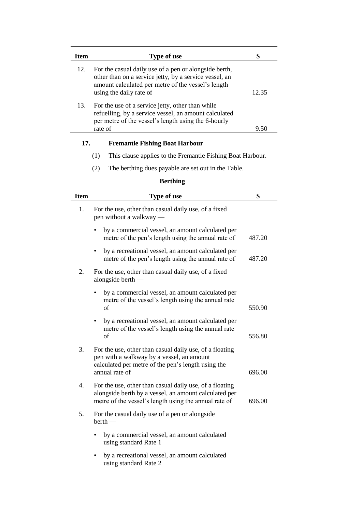| <b>Item</b> | <b>Type of use</b>                                                                                                                                                                               | \$     |
|-------------|--------------------------------------------------------------------------------------------------------------------------------------------------------------------------------------------------|--------|
| 12.         | For the casual daily use of a pen or alongside berth,<br>other than on a service jetty, by a service vessel, an<br>amount calculated per metre of the vessel's length<br>using the daily rate of | 12.35  |
| 13.         | For the use of a service jetty, other than while<br>refuelling, by a service vessel, an amount calculated<br>per metre of the vessel's length using the 6-hourly<br>rate of                      | 9.50   |
| 17.         | <b>Fremantle Fishing Boat Harbour</b>                                                                                                                                                            |        |
|             | This clause applies to the Fremantle Fishing Boat Harbour.<br>(1)                                                                                                                                |        |
|             | The berthing dues payable are set out in the Table.<br>(2)                                                                                                                                       |        |
|             | <b>Berthing</b>                                                                                                                                                                                  |        |
| <b>Item</b> | Type of use                                                                                                                                                                                      | \$     |
| 1.          | For the use, other than casual daily use, of a fixed<br>pen without a walkway —                                                                                                                  |        |
|             | by a commercial vessel, an amount calculated per<br>metre of the pen's length using the annual rate of                                                                                           | 487.20 |
|             | by a recreational vessel, an amount calculated per<br>٠<br>metre of the pen's length using the annual rate of                                                                                    | 487.20 |
| 2.          | For the use, other than casual daily use, of a fixed<br>alongside berth $-$                                                                                                                      |        |
|             | by a commercial vessel, an amount calculated per<br>metre of the vessel's length using the annual rate<br>of                                                                                     | 550.90 |
|             | by a recreational vessel, an amount calculated per<br>metre of the vessel's length using the annual rate<br>of                                                                                   | 556.80 |
| 3.          | For the use, other than casual daily use, of a floating<br>pen with a walkway by a vessel, an amount<br>calculated per metre of the pen's length using the<br>annual rate of                     | 696.00 |
| 4.          | For the use, other than casual daily use, of a floating<br>alongside berth by a vessel, an amount calculated per<br>metre of the vessel's length using the annual rate of                        | 696.00 |
| 5.          | For the casual daily use of a pen or alongside<br>$berth$ —                                                                                                                                      |        |
|             | by a commercial vessel, an amount calculated<br>using standard Rate 1                                                                                                                            |        |
|             | by a recreational vessel, an amount calculated<br>using standard Rate 2                                                                                                                          |        |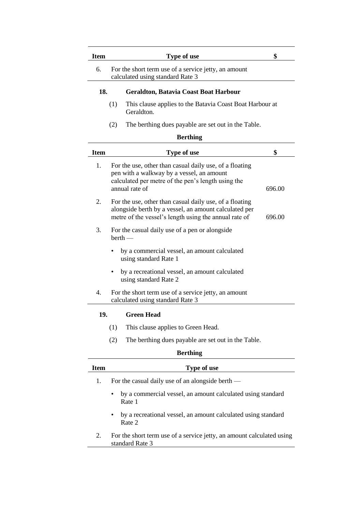| <b>Item</b> | Type of use                                                                                                                                                                  | \$     |  |  |
|-------------|------------------------------------------------------------------------------------------------------------------------------------------------------------------------------|--------|--|--|
| 6.          | For the short term use of a service jetty, an amount<br>calculated using standard Rate 3                                                                                     |        |  |  |
|             | 18.<br><b>Geraldton, Batavia Coast Boat Harbour</b>                                                                                                                          |        |  |  |
|             | (1)<br>This clause applies to the Batavia Coast Boat Harbour at<br>Geraldton.                                                                                                |        |  |  |
|             | (2)<br>The berthing dues payable are set out in the Table.                                                                                                                   |        |  |  |
|             | <b>Berthing</b>                                                                                                                                                              |        |  |  |
| <b>Item</b> | Type of use                                                                                                                                                                  | \$     |  |  |
| 1.          | For the use, other than casual daily use, of a floating<br>pen with a walkway by a vessel, an amount<br>calculated per metre of the pen's length using the<br>annual rate of | 696.00 |  |  |
| 2.          | For the use, other than casual daily use, of a floating<br>alongside berth by a vessel, an amount calculated per<br>metre of the vessel's length using the annual rate of    | 696.00 |  |  |
| 3.          | For the casual daily use of a pen or alongside<br>$berth$ —                                                                                                                  |        |  |  |
|             | by a commercial vessel, an amount calculated<br>using standard Rate 1                                                                                                        |        |  |  |

- by a recreational vessel, an amount calculated using standard Rate 2
- 4. For the short term use of a service jetty, an amount calculated using standard Rate 3

### **19. Green Head**

- (1) This clause applies to Green Head.
- (2) The berthing dues payable are set out in the Table.

| Item | Type of use                                                                              |
|------|------------------------------------------------------------------------------------------|
| 1.   | For the casual daily use of an alongside berth $-$                                       |
|      | by a commercial vessel, an amount calculated using standard<br>$\bullet$<br>Rate 1       |
|      | by a recreational vessel, an amount calculated using standard<br>$\bullet$<br>Rate 2     |
| 2.   | For the short term use of a service jetty, an amount calculated using<br>standard Rate 3 |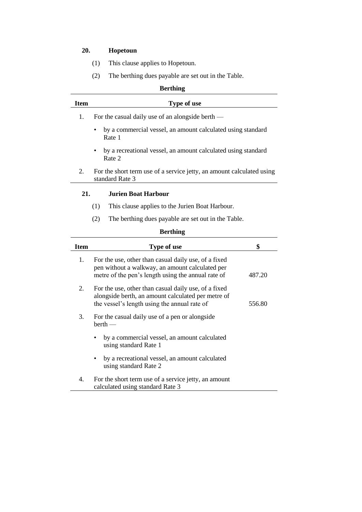# **20. Hopetoun**

- (1) This clause applies to Hopetoun.
- (2) The berthing dues payable are set out in the Table.

| <b>Berthing</b>                   |                                                                                          |  |
|-----------------------------------|------------------------------------------------------------------------------------------|--|
| <b>Item</b>                       | <b>Type of use</b>                                                                       |  |
| 1.                                | For the casual daily use of an alongside berth —                                         |  |
|                                   | by a commercial vessel, an amount calculated using standard<br>$\bullet$<br>Rate 1       |  |
|                                   | by a recreational vessel, an amount calculated using standard<br>$\bullet$<br>Rate 2     |  |
| 2.                                | For the short term use of a service jetty, an amount calculated using<br>standard Rate 3 |  |
| 21.<br><b>Jurien Boat Harbour</b> |                                                                                          |  |
|                                   | This clause applies to the Jurien Boat Harbour.<br>(1)                                   |  |
|                                   | The berthing dues payable are set out in the Table.<br>(2)                               |  |

| Item | Type of use                                                                                                                                                   | \$     |  |
|------|---------------------------------------------------------------------------------------------------------------------------------------------------------------|--------|--|
| 1.   | For the use, other than casual daily use, of a fixed<br>pen without a walkway, an amount calculated per<br>metre of the pen's length using the annual rate of | 487.20 |  |
| 2.   | For the use, other than casual daily use, of a fixed<br>alongside berth, an amount calculated per metre of<br>the vessel's length using the annual rate of    | 556.80 |  |
| 3.   | For the casual daily use of a pen or alongside<br>$berth$ —                                                                                                   |        |  |
|      | by a commercial vessel, an amount calculated<br>using standard Rate 1                                                                                         |        |  |
|      | by a recreational vessel, an amount calculated<br>using standard Rate 2                                                                                       |        |  |
| 4.   | For the short term use of a service jetty, an amount<br>calculated using standard Rate 3                                                                      |        |  |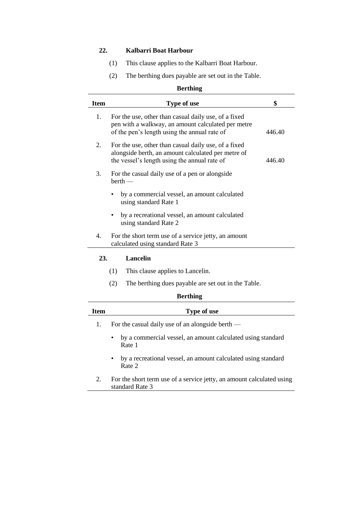# **22. Kalbarri Boat Harbour**

- (1) This clause applies to the Kalbarri Boat Harbour.
- (2) The berthing dues payable are set out in the Table.

#### **Berthing**

| <b>Item</b> | Type of use                                                                                                                                                | \$     |  |
|-------------|------------------------------------------------------------------------------------------------------------------------------------------------------------|--------|--|
| 1.          | For the use, other than casual daily use, of a fixed<br>pen with a walkway, an amount calculated per metre<br>of the pen's length using the annual rate of | 446.40 |  |
| 2.          | For the use, other than casual daily use, of a fixed<br>alongside berth, an amount calculated per metre of<br>the vessel's length using the annual rate of | 446.40 |  |
| 3.          | For the casual daily use of a pen or alongside<br>$berth$ —                                                                                                |        |  |
|             | by a commercial vessel, an amount calculated<br>using standard Rate 1                                                                                      |        |  |
|             | by a recreational vessel, an amount calculated<br>using standard Rate 2                                                                                    |        |  |
| 4.          | For the short term use of a service jetty, an amount<br>calculated using standard Rate 3                                                                   |        |  |
| 23.         | <b>Lancelin</b>                                                                                                                                            |        |  |
|             | (1)<br>This clause applies to Lancelin.                                                                                                                    |        |  |

(2) The berthing dues payable are set out in the Table.

| Item | <b>Type of use</b>                                                                       |
|------|------------------------------------------------------------------------------------------|
| 1.   | For the casual daily use of an alongside berth —                                         |
|      | by a commercial vessel, an amount calculated using standard<br>$\bullet$<br>Rate 1       |
|      | by a recreational vessel, an amount calculated using standard<br>$\bullet$<br>Rate 2     |
| 2.   | For the short term use of a service jetty, an amount calculated using<br>standard Rate 3 |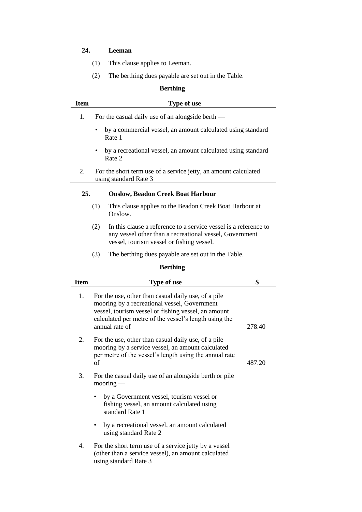# **24. Leeman**

- (1) This clause applies to Leeman.
- (2) The berthing dues payable are set out in the Table.

| <b>Berthing</b> |                                                                                          |  |
|-----------------|------------------------------------------------------------------------------------------|--|
| <b>Item</b>     | <b>Type of use</b>                                                                       |  |
| 1.              | For the casual daily use of an alongside berth $-$                                       |  |
|                 | by a commercial vessel, an amount calculated using standard<br>Rate 1                    |  |
|                 | by a recreational vessel, an amount calculated using standard<br>Rate 2                  |  |
| 2.              | For the short term use of a service jetty, an amount calculated<br>using standard Rate 3 |  |
| 25.             | <b>Onslow, Beadon Creek Boat Harbour</b>                                                 |  |
|                 | (1)<br>This clause applies to the Beadon Creek Boat Harbour at<br>Onslow.                |  |
|                 | In this clause a reference to a service yessel is a reference to<br>(2)                  |  |

- (2) In this clause a reference to a service vessel is a reference to any vessel other than a recreational vessel, Government vessel, tourism vessel or fishing vessel.
- (3) The berthing dues payable are set out in the Table.

| <b>Item</b> | Type of use                                                                                                                                                                                                                           | \$     |
|-------------|---------------------------------------------------------------------------------------------------------------------------------------------------------------------------------------------------------------------------------------|--------|
| 1.          | For the use, other than casual daily use, of a pile<br>mooring by a recreational vessel, Government<br>vessel, tourism vessel or fishing vessel, an amount<br>calculated per metre of the vessel's length using the<br>annual rate of | 278.40 |
| 2.          | For the use, other than casual daily use, of a pile<br>mooring by a service vessel, an amount calculated<br>per metre of the vessel's length using the annual rate<br>οf                                                              | 487.20 |
| 3.          | For the casual daily use of an alongside berth or pile<br>$\text{moving}$                                                                                                                                                             |        |
|             | by a Government vessel, tourism vessel or<br>fishing vessel, an amount calculated using<br>standard Rate 1                                                                                                                            |        |
|             | by a recreational vessel, an amount calculated<br>using standard Rate 2                                                                                                                                                               |        |
| 4.          | For the short term use of a service jetty by a vessel<br>(other than a service vessel), an amount calculated<br>using standard Rate 3                                                                                                 |        |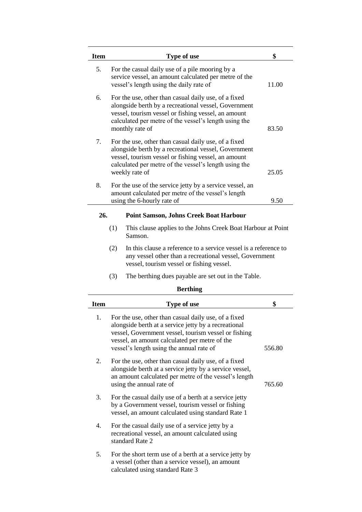| <b>Item</b> | Type of use                                                                                                                                                                                                                                                       | \$     |  |
|-------------|-------------------------------------------------------------------------------------------------------------------------------------------------------------------------------------------------------------------------------------------------------------------|--------|--|
| 5.          | For the casual daily use of a pile mooring by a<br>service vessel, an amount calculated per metre of the<br>vessel's length using the daily rate of                                                                                                               | 11.00  |  |
| 6.          | For the use, other than casual daily use, of a fixed<br>alongside berth by a recreational vessel, Government<br>vessel, tourism vessel or fishing vessel, an amount<br>calculated per metre of the vessel's length using the<br>monthly rate of<br>83.50          |        |  |
| 7.          | For the use, other than casual daily use, of a fixed<br>alongside berth by a recreational vessel, Government<br>vessel, tourism vessel or fishing vessel, an amount<br>calculated per metre of the vessel's length using the<br>weekly rate of                    | 25.05  |  |
| 8.          | For the use of the service jetty by a service vessel, an<br>amount calculated per metre of the vessel's length                                                                                                                                                    |        |  |
|             | using the 6-hourly rate of                                                                                                                                                                                                                                        | 9.50   |  |
| 26.         | <b>Point Samson, Johns Creek Boat Harbour</b>                                                                                                                                                                                                                     |        |  |
|             | (1)<br>This clause applies to the Johns Creek Boat Harbour at Point<br>Samson.                                                                                                                                                                                    |        |  |
|             | (2)<br>In this clause a reference to a service vessel is a reference to<br>any vessel other than a recreational vessel, Government<br>vessel, tourism vessel or fishing vessel.                                                                                   |        |  |
|             | (3)<br>The berthing dues payable are set out in the Table.                                                                                                                                                                                                        |        |  |
|             | <b>Berthing</b>                                                                                                                                                                                                                                                   |        |  |
| <b>Item</b> | Type of use                                                                                                                                                                                                                                                       | \$     |  |
| 1.          | For the use, other than casual daily use, of a fixed<br>alongside berth at a service jetty by a recreational<br>vessel, Government vessel, tourism vessel or fishing<br>vessel, an amount calculated per metre of the<br>vessel's length using the annual rate of | 556.80 |  |
| 2.          | For the use, other than casual daily use, of a fixed<br>alongside berth at a service jetty by a service vessel,<br>an amount calculated per metre of the vessel's length<br>using the annual rate of<br>765.60                                                    |        |  |
|             |                                                                                                                                                                                                                                                                   |        |  |

- 3. For the casual daily use of a berth at a service jetty
- by a Government vessel, tourism vessel or fishing vessel, an amount calculated using standard Rate 1
- 4. For the casual daily use of a service jetty by a recreational vessel, an amount calculated using standard Rate 2
- 5. For the short term use of a berth at a service jetty by a vessel (other than a service vessel), an amount calculated using standard Rate 3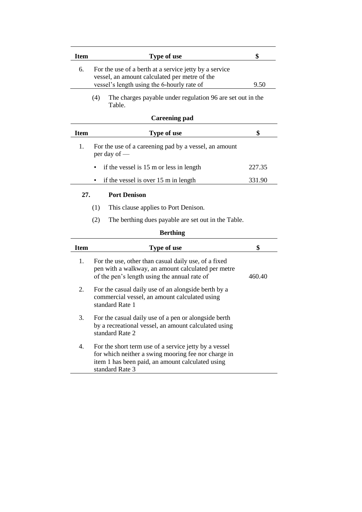| <b>Item</b> | <b>Type of use</b>                                                                                                                                                                  | \$     |
|-------------|-------------------------------------------------------------------------------------------------------------------------------------------------------------------------------------|--------|
| 6.          | For the use of a berth at a service jetty by a service                                                                                                                              |        |
|             | vessel, an amount calculated per metre of the                                                                                                                                       |        |
|             | vessel's length using the 6-hourly rate of                                                                                                                                          | 9.50   |
|             | (4)<br>The charges payable under regulation 96 are set out in the<br>Table.                                                                                                         |        |
|             | <b>Careening pad</b>                                                                                                                                                                |        |
| <b>Item</b> | Type of use                                                                                                                                                                         | \$     |
| 1.          | For the use of a careening pad by a vessel, an amount<br>per day of $-$                                                                                                             |        |
|             | if the vessel is 15 m or less in length                                                                                                                                             | 227.35 |
|             | if the vessel is over 15 m in length                                                                                                                                                | 331.90 |
|             |                                                                                                                                                                                     |        |
| 27.         | <b>Port Denison</b>                                                                                                                                                                 |        |
|             | (1)<br>This clause applies to Port Denison.                                                                                                                                         |        |
|             | (2)<br>The berthing dues payable are set out in the Table.                                                                                                                          |        |
|             | <b>Berthing</b>                                                                                                                                                                     |        |
| <b>Item</b> | Type of use                                                                                                                                                                         | \$     |
| 1.          | For the use, other than casual daily use, of a fixed<br>pen with a walkway, an amount calculated per metre<br>of the pen's length using the annual rate of                          | 460.40 |
| 2.          | For the casual daily use of an alongside berth by a<br>commercial vessel, an amount calculated using<br>standard Rate 1                                                             |        |
| 3.          | For the casual daily use of a pen or alongside berth<br>by a recreational vessel, an amount calculated using<br>standard Rate 2                                                     |        |
| 4.          | For the short term use of a service jetty by a vessel<br>for which neither a swing mooring fee nor charge in<br>item 1 has been paid, an amount calculated using<br>standard Rate 3 |        |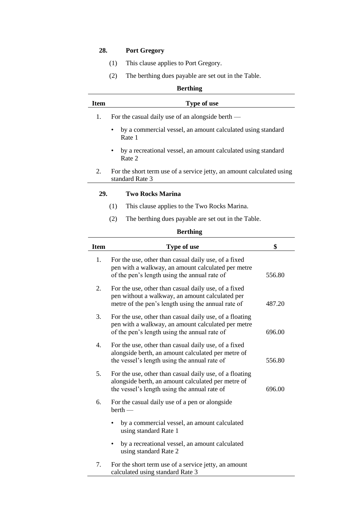# **28. Port Gregory**

- (1) This clause applies to Port Gregory.
- (2) The berthing dues payable are set out in the Table.

|             | <b>Berthing</b>                                                                          |
|-------------|------------------------------------------------------------------------------------------|
| <b>Item</b> | <b>Type of use</b>                                                                       |
| 1.          | For the casual daily use of an alongside berth —                                         |
|             | by a commercial vessel, an amount calculated using standard<br>Rate 1                    |
|             | by a recreational vessel, an amount calculated using standard<br>Rate 2                  |
| 2.          | For the short term use of a service jetty, an amount calculated using<br>standard Rate 3 |
| <b>29.</b>  | <b>Two Rocks Marina</b>                                                                  |
|             | (1)<br>This clause applies to the Two Rocks Marina.                                      |
|             | The berthing dues payable are set out in the Table.<br>(2)                               |
|             |                                                                                          |

| <b>Item</b> | Type of use                                                                                                                                                   | \$     |
|-------------|---------------------------------------------------------------------------------------------------------------------------------------------------------------|--------|
| 1.          | For the use, other than casual daily use, of a fixed<br>pen with a walkway, an amount calculated per metre<br>of the pen's length using the annual rate of    | 556.80 |
| 2.          | For the use, other than casual daily use, of a fixed<br>pen without a walkway, an amount calculated per<br>metre of the pen's length using the annual rate of | 487.20 |
| 3.          | For the use, other than casual daily use, of a floating<br>pen with a walkway, an amount calculated per metre<br>of the pen's length using the annual rate of | 696.00 |
| 4.          | For the use, other than casual daily use, of a fixed<br>alongside berth, an amount calculated per metre of<br>the vessel's length using the annual rate of    | 556.80 |
| 5.          | For the use, other than casual daily use, of a floating<br>alongside berth, an amount calculated per metre of<br>the vessel's length using the annual rate of | 696.00 |
| 6.          | For the casual daily use of a pen or alongside<br>$berth$ —                                                                                                   |        |
|             | by a commercial vessel, an amount calculated<br>using standard Rate 1                                                                                         |        |
|             | by a recreational vessel, an amount calculated<br>using standard Rate 2                                                                                       |        |
| 7.          | For the short term use of a service jetty, an amount<br>calculated using standard Rate 3                                                                      |        |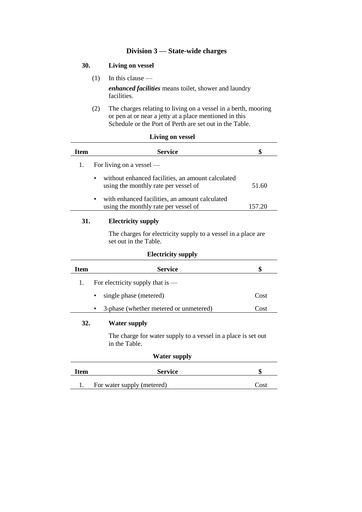# **Division 3 — State-wide charges**

# **30. Living on vessel**

- $(1)$  In this clause *enhanced facilities* means toilet, shower and laundry facilities.
- (2) The charges relating to living on a vessel in a berth, mooring or pen at or near a jetty at a place mentioned in this Schedule or the Port of Perth are set out in the Table.

|             | <b>Living on vessel</b>                                                                   |        |
|-------------|-------------------------------------------------------------------------------------------|--------|
| <b>Item</b> | <b>Service</b>                                                                            | \$     |
| 1.          | For living on a vessel $-$                                                                |        |
|             | without enhanced facilities, an amount calculated<br>using the monthly rate per vessel of | 51.60  |
|             | with enhanced facilities, an amount calculated<br>using the monthly rate per vessel of    | 157.20 |
| 31.         | <b>Electricity supply</b>                                                                 |        |
|             | The charges for electricity supply to a vessel in a place are.<br>set out in the Table.   |        |
|             | <b>Electricity supply</b>                                                                 |        |
| <b>Item</b> | <b>Service</b>                                                                            | \$     |
| 1.          | For electricity supply that is $-$                                                        |        |
|             | single phase (metered)                                                                    | Cost   |
|             | 3-phase (whether metered or unmetered)                                                    | Cost   |
| 32.         | <b>Water supply</b>                                                                       |        |
|             | The charge for water supply to a vessel in a place is set out<br>in the Table.            |        |
|             | <b>Water supply</b>                                                                       |        |
| <b>Item</b> | <b>Service</b>                                                                            | \$     |

1. For water supply (metered) Cost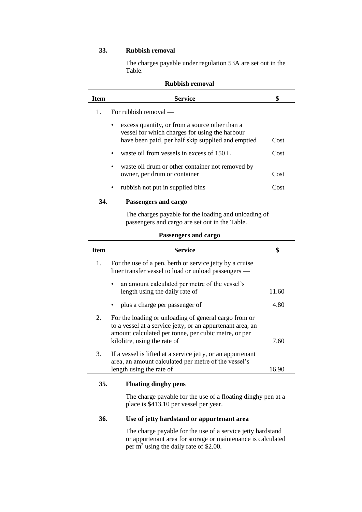# **33. Rubbish removal**

The charges payable under regulation 53A are set out in the Table.

|             | <b>Rubbish removal</b>                                                                                                                                 |       |  |
|-------------|--------------------------------------------------------------------------------------------------------------------------------------------------------|-------|--|
| <b>Item</b> | <b>Service</b>                                                                                                                                         | \$    |  |
| 1.          | For rubbish removal —                                                                                                                                  |       |  |
|             | excess quantity, or from a source other than a<br>vessel for which charges for using the harbour<br>have been paid, per half skip supplied and emptied | Cost  |  |
|             | waste oil from vessels in excess of 150 L                                                                                                              | Cost  |  |
|             | waste oil drum or other container not removed by<br>owner, per drum or container                                                                       | Cost  |  |
|             | rubbish not put in supplied bins                                                                                                                       | Cost  |  |
| 34.         | Passengers and cargo                                                                                                                                   |       |  |
|             | The charges payable for the loading and unloading of<br>passengers and cargo are set out in the Table.                                                 |       |  |
|             | Passengers and cargo                                                                                                                                   |       |  |
| <b>Item</b> | <b>Service</b>                                                                                                                                         | \$    |  |
| 1.          | For the use of a pen, berth or service jetty by a cruise<br>liner transfer vessel to load or unload passengers —                                       |       |  |
|             | an amount calculated per metre of the vessel's<br>length using the daily rate of                                                                       | 11.60 |  |
|             | plus a charge per passenger of                                                                                                                         | 4.80  |  |
| 2.          | For the loading or unloading of general cargo from or<br>to a vessel at a service jetty, or an appurtenant area, an                                    |       |  |

|    | to a vesser at a service jetty, or an appurtenant area, an<br>amount calculated per tonne, per cubic metre, or per<br>kilolitre, using the rate of | 7.60 |
|----|----------------------------------------------------------------------------------------------------------------------------------------------------|------|
| 3. | If a vessel is lifted at a service jetty, or an appurtenant<br>area, an amount calculated per metre of the vessel's                                |      |

### **35. Floating dinghy pens**

The charge payable for the use of a floating dinghy pen at a place is \$413.10 per vessel per year.

length using the rate of 16.90

### **36. Use of jetty hardstand or appurtenant area**

The charge payable for the use of a service jetty hardstand or appurtenant area for storage or maintenance is calculated per m<sup>2</sup> using the daily rate of \$2.00.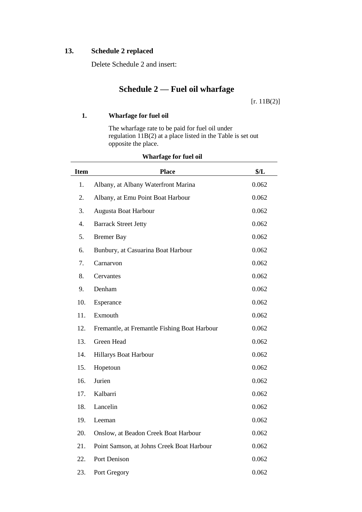# **13. Schedule 2 replaced**

Delete Schedule 2 and insert:

# **Schedule 2 — Fuel oil wharfage**

 $[r. 11B(2)]$ 

# **1. Wharfage for fuel oil**

The wharfage rate to be paid for fuel oil under regulation 11B(2) at a place listed in the Table is set out opposite the place.

| <b>Item</b> | <b>Place</b>                                 | \$/L  |
|-------------|----------------------------------------------|-------|
| 1.          | Albany, at Albany Waterfront Marina          | 0.062 |
| 2.          | Albany, at Emu Point Boat Harbour            | 0.062 |
| 3.          | Augusta Boat Harbour                         | 0.062 |
| 4.          | <b>Barrack Street Jetty</b>                  | 0.062 |
| 5.          | <b>Bremer Bay</b>                            | 0.062 |
| 6.          | Bunbury, at Casuarina Boat Harbour           | 0.062 |
| 7.          | Carnarvon                                    | 0.062 |
| 8.          | Cervantes                                    | 0.062 |
| 9.          | Denham                                       | 0.062 |
| 10.         | Esperance                                    | 0.062 |
| 11.         | Exmouth                                      | 0.062 |
| 12.         | Fremantle, at Fremantle Fishing Boat Harbour | 0.062 |
| 13.         | Green Head                                   | 0.062 |
| 14.         | Hillarys Boat Harbour                        | 0.062 |
| 15.         | Hopetoun                                     | 0.062 |
| 16.         | Jurien                                       | 0.062 |
| 17.         | Kalbarri                                     | 0.062 |
| 18.         | Lancelin                                     | 0.062 |
| 19.         | Leeman                                       | 0.062 |
| 20.         | Onslow, at Beadon Creek Boat Harbour         | 0.062 |
| 21.         | Point Samson, at Johns Creek Boat Harbour    | 0.062 |
| 22.         | Port Denison                                 | 0.062 |
| 23.         | Port Gregory                                 | 0.062 |

# **Wharfage for fuel oil**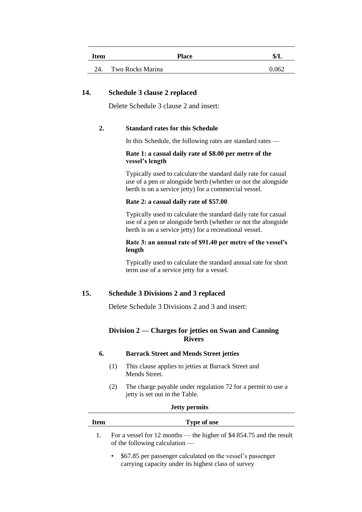| Item | <b>Place</b>     | \$/L  |
|------|------------------|-------|
| 24.  | Two Rocks Marina | 0.062 |

### **14. Schedule 3 clause 2 replaced**

Delete Schedule 3 clause 2 and insert:

#### **2. Standard rates for this Schedule**

In this Schedule, the following rates are standard rates —

#### **Rate 1: a casual daily rate of \$8.00 per metre of the vessel's length**

Typically used to calculate the standard daily rate for casual use of a pen or alongside berth (whether or not the alongside berth is on a service jetty) for a commercial vessel.

#### **Rate 2: a casual daily rate of \$57.00**

Typically used to calculate the standard daily rate for casual use of a pen or alongside berth (whether or not the alongside berth is on a service jetty) for a recreational vessel.

#### **Rate 3: an annual rate of \$91.40 per metre of the vessel's length**

Typically used to calculate the standard annual rate for short term use of a service jetty for a vessel.

# **15. Schedule 3 Divisions 2 and 3 replaced**

Delete Schedule 3 Divisions 2 and 3 and insert:

### **Division 2 — Charges for jetties on Swan and Canning Rivers**

### **6. Barrack Street and Mends Street jetties**

- (1) This clause applies to jetties at Barrack Street and Mends Street.
- (2) The charge payable under regulation 72 for a permit to use a jetty is set out in the Table.

|      | <b>Jetty permits</b>                                                                                                           |  |  |
|------|--------------------------------------------------------------------------------------------------------------------------------|--|--|
| Item | Type of use                                                                                                                    |  |  |
|      | For a vessel for 12 months — the higher of \$4 854.75 and the result<br>of the following calculation $-$                       |  |  |
|      | \$67.85 per passenger calculated on the vessel's passenger<br>$\bullet$<br>carrying capacity under its highest class of survey |  |  |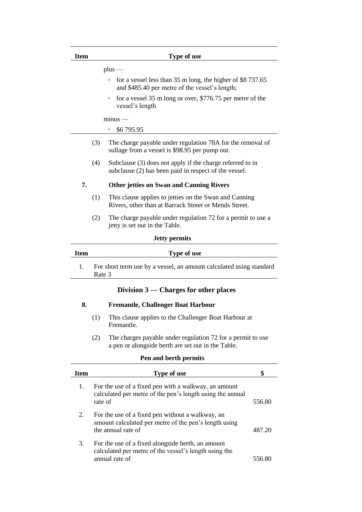| Item        | <b>Type of use</b>                                                                                                        |
|-------------|---------------------------------------------------------------------------------------------------------------------------|
|             | $plus$ —                                                                                                                  |
|             | for a vessel less than 35 m long, the higher of \$8 737.65<br>$\circ$<br>and \$485.40 per metre of the vessel's length;   |
|             | for a vessel 35 m long or over, \$776.75 per metre of the<br>$\circ$<br>vessel's length                                   |
|             | $minus -$                                                                                                                 |
|             | \$6795.95<br>O                                                                                                            |
|             | (3)<br>The charge payable under regulation 78A for the removal of<br>sullage from a vessel is \$98.95 per pump out.       |
|             | (4)<br>Subclause (3) does not apply if the charge referred to in<br>subclause (2) has been paid in respect of the vessel. |
| 7.          | <b>Other jetties on Swan and Canning Rivers</b>                                                                           |
|             | (1)<br>This clause applies to jetties on the Swan and Canning<br>Rivers, other than at Barrack Street or Mends Street.    |
|             | (2)<br>The charge payable under regulation 72 for a permit to use a<br>jetty is set out in the Table.                     |
|             | <b>Jetty permits</b>                                                                                                      |
| <b>Item</b> | Type of use                                                                                                               |
| 1.          | For short term use by a vessel, an amount calculated using standard<br>Rate 3                                             |

# **Division 3 — Charges for other places**

### **8. Fremantle, Challenger Boat Harbour**

- (1) This clause applies to the Challenger Boat Harbour at Fremantle.
- (2) The charges payable under regulation 72 for a permit to use a pen or alongside berth are set out in the Table.

# **Pen and berth permits**

| <b>Item</b> | Type of use                                                                                                                     |        |
|-------------|---------------------------------------------------------------------------------------------------------------------------------|--------|
| 1.          | For the use of a fixed pen with a walkway, an amount<br>calculated per metre of the pen's length using the annual<br>rate of    | 556.80 |
| 2.          | For the use of a fixed pen without a walkway, an<br>amount calculated per metre of the pen's length using<br>the annual rate of | 487.20 |
| 3.          | For the use of a fixed alongside berth, an amount<br>calculated per metre of the vessel's length using the<br>annual rate of    |        |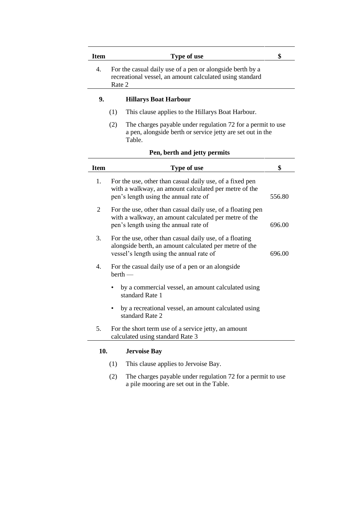| <b>Item</b>    |                                                                                                                                 | Type of use                                                                                                                                                   | \$     |
|----------------|---------------------------------------------------------------------------------------------------------------------------------|---------------------------------------------------------------------------------------------------------------------------------------------------------------|--------|
| 4.             | For the casual daily use of a pen or alongside berth by a<br>recreational vessel, an amount calculated using standard<br>Rate 2 |                                                                                                                                                               |        |
| 9.             |                                                                                                                                 | <b>Hillarys Boat Harbour</b>                                                                                                                                  |        |
|                | (1)                                                                                                                             | This clause applies to the Hillarys Boat Harbour.                                                                                                             |        |
|                | (2)                                                                                                                             | The charges payable under regulation 72 for a permit to use<br>a pen, alongside berth or service jetty are set out in the<br>Table.                           |        |
|                |                                                                                                                                 | Pen, berth and jetty permits                                                                                                                                  |        |
| <b>Item</b>    |                                                                                                                                 | Type of use                                                                                                                                                   | \$     |
| 1.             |                                                                                                                                 | For the use, other than casual daily use, of a fixed pen<br>with a walkway, an amount calculated per metre of the<br>pen's length using the annual rate of    | 556.80 |
| $\overline{2}$ |                                                                                                                                 | For the use, other than casual daily use, of a floating pen<br>with a walkway, an amount calculated per metre of the<br>pen's length using the annual rate of | 696.00 |
| 3.             |                                                                                                                                 | For the use, other than casual daily use, of a floating<br>alongside berth, an amount calculated per metre of the<br>vessel's length using the annual rate of | 696.00 |
| 4.             | $berth$ —                                                                                                                       | For the casual daily use of a pen or an alongside                                                                                                             |        |
|                |                                                                                                                                 | by a commercial vessel, an amount calculated using<br>standard Rate 1                                                                                         |        |
|                |                                                                                                                                 | by a recreational vessel, an amount calculated using<br>standard Rate 2                                                                                       |        |
|                |                                                                                                                                 |                                                                                                                                                               |        |

- (1) This clause applies to Jervoise Bay.
- (2) The charges payable under regulation 72 for a permit to use a pile mooring are set out in the Table.